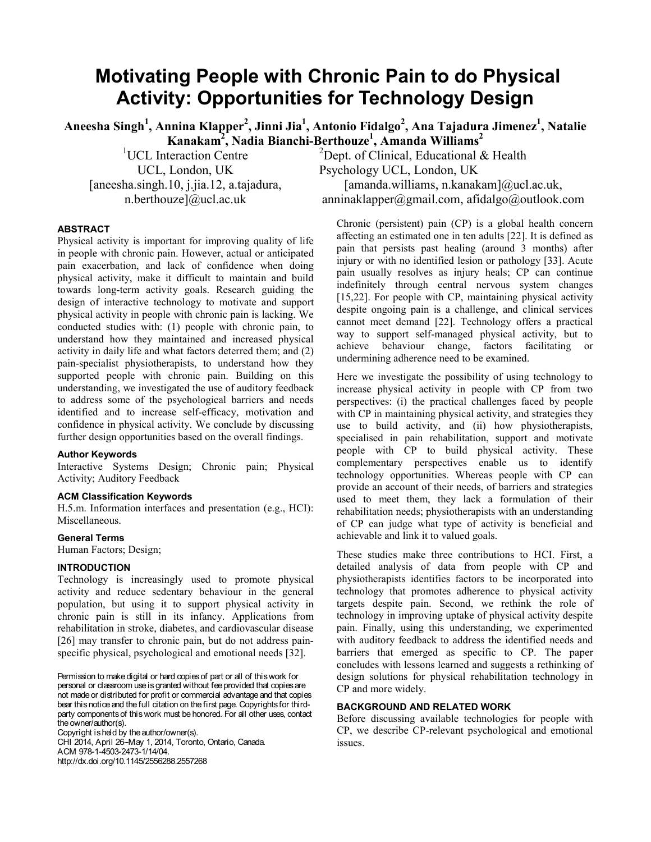# **Motivating People with Chronic Pain to do Physical Activity: Opportunities for Technology Design**

**Aneesha Singh1 , Annina Klapper2 , Jinni Jia1 , Antonio Fidalgo<sup>2</sup> , Ana Tajadura Jimenez1 , Natalie Kanakam2 , Nadia Bianchi-Berthouze1 , Amanda Williams<sup>2</sup>**

<sup>1</sup>UCL Interaction Centre UCL, London, UK [aneesha.singh.10, j.jia.12, a.tajadura, n.berthouze]@ucl.ac.uk

<sup>2</sup>Dept. of Clinical, Educational & Health Psychology UCL, London, UK [amanda.williams, n.kanakam]@ucl.ac.uk, anninaklapper@gmail.com, afidalgo@outlook.com

## **ABSTRACT**

Physical activity is important for improving quality of life in people with chronic pain. However, actual or anticipated pain exacerbation, and lack of confidence when doing physical activity, make it difficult to maintain and build towards long-term activity goals. Research guiding the design of interactive technology to motivate and support physical activity in people with chronic pain is lacking. We conducted studies with: (1) people with chronic pain, to understand how they maintained and increased physical activity in daily life and what factors deterred them; and (2) pain-specialist physiotherapists, to understand how they supported people with chronic pain. Building on this understanding, we investigated the use of auditory feedback to address some of the psychological barriers and needs identified and to increase self-efficacy, motivation and confidence in physical activity. We conclude by discussing further design opportunities based on the overall findings.

## **Author Keywords**

Interactive Systems Design; Chronic pain; Physical Activity; Auditory Feedback

## **ACM Classification Keywords**

H.5.m. Information interfaces and presentation (e.g., HCI): Miscellaneous.

## **General Terms**

Human Factors; Design;

# **INTRODUCTION**

Technology is increasingly used to promote physical activity and reduce sedentary behaviour in the general population, but using it to support physical activity in chronic pain is still in its infancy. Applications from rehabilitation in stroke, diabetes, and cardiovascular disease [26] may transfer to chronic pain, but do not address painspecific physical, psychological and emotional needs [32].

Permission to make digital or hard copies of part or all of this work for personal or classroom use is granted without fee provided that copies are not made or distributed for profit or commercial advantage and that copies bear this notice and the full citation on the first page. Copyrights for thirdparty components of this work must be honored. For all other uses, contact the owner/author(s).

Copyright is held by the author/owner(s). CHI 2014, April 26--May 1, 2014, Toronto, Ontario, Canada. ACM 978-1-4503-2473-1/14/04. http://dx.doi.org/10.1145/2556288.2557268

Chronic (persistent) pain (CP) is a global health concern affecting an estimated one in ten adults [22]. It is defined as pain that persists past healing (around 3 months) after injury or with no identified lesion or pathology [33]. Acute pain usually resolves as injury heals; CP can continue indefinitely through central nervous system changes [15,22]. For people with CP, maintaining physical activity despite ongoing pain is a challenge, and clinical services cannot meet demand [22]. Technology offers a practical way to support self-managed physical activity, but to achieve behaviour change, factors facilitating or undermining adherence need to be examined.

Here we investigate the possibility of using technology to increase physical activity in people with CP from two perspectives: (i) the practical challenges faced by people with CP in maintaining physical activity, and strategies they use to build activity, and (ii) how physiotherapists, specialised in pain rehabilitation, support and motivate people with CP to build physical activity. These complementary perspectives enable us to identify technology opportunities. Whereas people with CP can provide an account of their needs, of barriers and strategies used to meet them, they lack a formulation of their rehabilitation needs; physiotherapists with an understanding of CP can judge what type of activity is beneficial and achievable and link it to valued goals.

These studies make three contributions to HCI. First, a detailed analysis of data from people with CP and physiotherapists identifies factors to be incorporated into technology that promotes adherence to physical activity targets despite pain. Second, we rethink the role of technology in improving uptake of physical activity despite pain. Finally, using this understanding, we experimented with auditory feedback to address the identified needs and barriers that emerged as specific to CP. The paper concludes with lessons learned and suggests a rethinking of design solutions for physical rehabilitation technology in CP and more widely.

#### **BACKGROUND AND RELATED WORK**

Before discussing available technologies for people with CP, we describe CP-relevant psychological and emotional issues.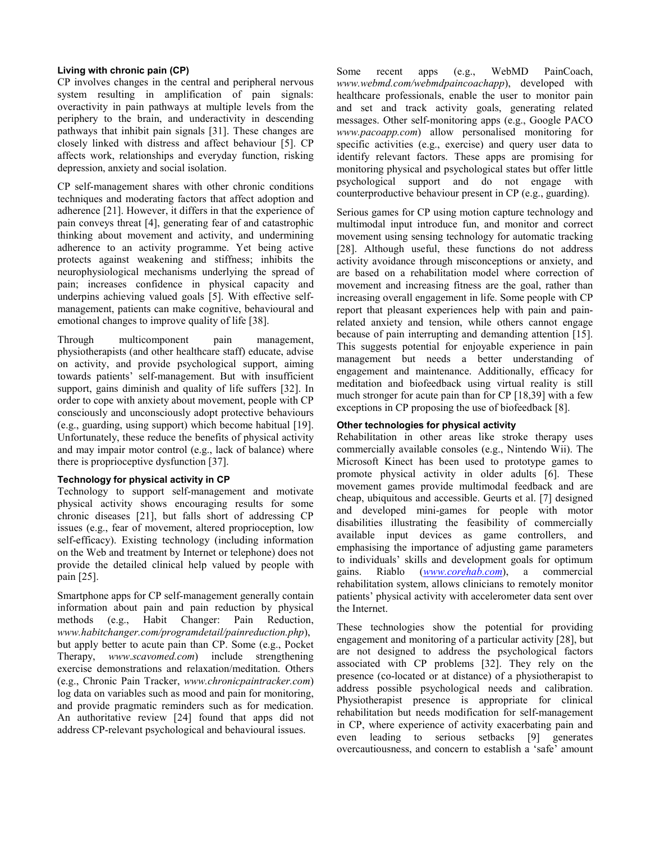## **Living with chronic pain (CP)**

CP involves changes in the central and peripheral nervous system resulting in amplification of pain signals: overactivity in pain pathways at multiple levels from the periphery to the brain, and underactivity in descending pathways that inhibit pain signals [31]. These changes are closely linked with distress and affect behaviour [5]. CP affects work, relationships and everyday function, risking depression, anxiety and social isolation.

CP self-management shares with other chronic conditions techniques and moderating factors that affect adoption and adherence [21]. However, it differs in that the experience of pain conveys threat [4], generating fear of and catastrophic thinking about movement and activity, and undermining adherence to an activity programme. Yet being active protects against weakening and stiffness; inhibits the neurophysiological mechanisms underlying the spread of pain; increases confidence in physical capacity and underpins achieving valued goals [5]. With effective selfmanagement, patients can make cognitive, behavioural and emotional changes to improve quality of life [38].

Through multicomponent pain management, physiotherapists (and other healthcare staff) educate, advise on activity, and provide psychological support, aiming towards patients' self-management. But with insufficient support, gains diminish and quality of life suffers [32]. In order to cope with anxiety about movement, people with CP consciously and unconsciously adopt protective behaviours (e.g., guarding, using support) which become habitual [19]. Unfortunately, these reduce the benefits of physical activity and may impair motor control (e.g., lack of balance) where there is proprioceptive dysfunction [37].

# **Technology for physical activity in CP**

Technology to support self-management and motivate physical activity shows encouraging results for some chronic diseases [21], but falls short of addressing CP issues (e.g., fear of movement, altered proprioception, low self-efficacy). Existing technology (including information on the Web and treatment by Internet or telephone) does not provide the detailed clinical help valued by people with pain [25].

Smartphone apps for CP self-management generally contain information about pain and pain reduction by physical methods (e.g., Habit Changer: Pain Reduction, *www.habitchanger.com/programdetail/painreduction.php*), but apply better to acute pain than CP. Some (e.g., Pocket Therapy, *www*.*scavomed.com*) include strengthening exercise demonstrations and relaxation/meditation. Others (e.g., Chronic Pain Tracker, *www.chronicpaintracker.com*) log data on variables such as mood and pain for monitoring, and provide pragmatic reminders such as for medication. An authoritative review [24] found that apps did not address CP-relevant psychological and behavioural issues.

Some recent apps (e.g., WebMD PainCoach, *www.webmd.com/webmdpaincoachapp*), developed with healthcare professionals, enable the user to monitor pain and set and track activity goals, generating related messages. Other self-monitoring apps (e.g., Google PACO *www.pacoapp.com*) allow personalised monitoring for specific activities (e.g., exercise) and query user data to identify relevant factors. These apps are promising for monitoring physical and psychological states but offer little psychological support and do not engage with counterproductive behaviour present in CP (e.g., guarding).

Serious games for CP using motion capture technology and multimodal input introduce fun, and monitor and correct movement using sensing technology for automatic tracking [28]. Although useful, these functions do not address activity avoidance through misconceptions or anxiety, and are based on a rehabilitation model where correction of movement and increasing fitness are the goal, rather than increasing overall engagement in life. Some people with CP report that pleasant experiences help with pain and painrelated anxiety and tension, while others cannot engage because of pain interrupting and demanding attention [15]. This suggests potential for enjoyable experience in pain management but needs a better understanding of engagement and maintenance. Additionally, efficacy for meditation and biofeedback using virtual reality is still much stronger for acute pain than for CP [18,39] with a few exceptions in CP proposing the use of biofeedback [8].

# **Other technologies for physical activity**

Rehabilitation in other areas like stroke therapy uses commercially available consoles (e.g., Nintendo Wii). The Microsoft Kinect has been used to prototype games to promote physical activity in older adults [6]. These movement games provide multimodal feedback and are cheap, ubiquitous and accessible. Geurts et al. [7] designed and developed mini-games for people with motor disabilities illustrating the feasibility of commercially available input devices as game controllers, and emphasising the importance of adjusting game parameters to individuals' skills and development goals for optimum gains. Riablo (*[www.corehab.com](http://www.corehab.com/)*), a commercial rehabilitation system, allows clinicians to remotely monitor patients' physical activity with accelerometer data sent over the Internet.

These technologies show the potential for providing engagement and monitoring of a particular activity [28], but are not designed to address the psychological factors associated with CP problems [32]. They rely on the presence (co-located or at distance) of a physiotherapist to address possible psychological needs and calibration. Physiotherapist presence is appropriate for clinical rehabilitation but needs modification for self-management in CP, where experience of activity exacerbating pain and even leading to serious setbacks [9] generates overcautiousness, and concern to establish a 'safe' amount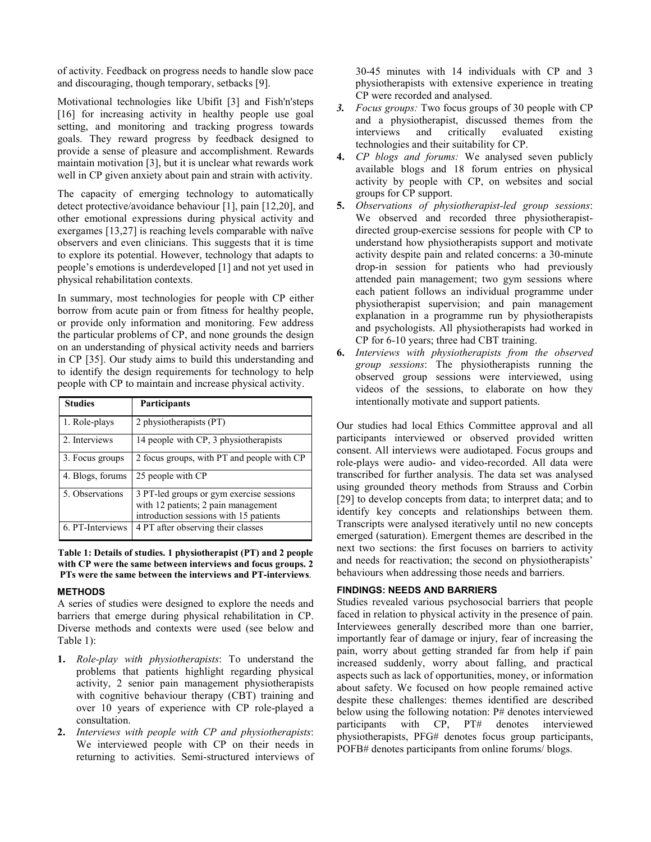of activity. Feedback on progress needs to handle slow pace and discouraging, though temporary, setbacks [9].

Motivational technologies like Ubifit [3] and Fish'n'steps [16] for increasing activity in healthy people use goal setting, and monitoring and tracking progress towards goals. They reward progress by feedback designed to provide a sense of pleasure and accomplishment. Rewards maintain motivation [3], but it is unclear what rewards work well in CP given anxiety about pain and strain with activity.

The capacity of emerging technology to automatically detect protective/avoidance behaviour [1], pain [12,20], and other emotional expressions during physical activity and exergames [13,27] is reaching levels comparable with naïve observers and even clinicians. This suggests that it is time to explore its potential. However, technology that adapts to people's emotions is underdeveloped [1] and not yet used in physical rehabilitation contexts.

In summary, most technologies for people with CP either borrow from acute pain or from fitness for healthy people, or provide only information and monitoring. Few address the particular problems of CP, and none grounds the design on an understanding of physical activity needs and barriers in CP [35]. Our study aims to build this understanding and to identify the design requirements for technology to help people with CP to maintain and increase physical activity.

| <b>Studies</b>   | <b>Participants</b>                                                                                                       |
|------------------|---------------------------------------------------------------------------------------------------------------------------|
| 1. Role-plays    | 2 physiotherapists (PT)                                                                                                   |
| 2. Interviews    | 14 people with CP, 3 physiotherapists                                                                                     |
| 3. Focus groups  | 2 focus groups, with PT and people with CP                                                                                |
| 4. Blogs, forums | 25 people with CP                                                                                                         |
| 5. Observations  | 3 PT-led groups or gym exercise sessions<br>with 12 patients; 2 pain management<br>introduction sessions with 15 patients |
| 6. PT-Interviews | 4 PT after observing their classes                                                                                        |

**Table 1: Details of studies. 1 physiotherapist (PT) and 2 people with CP were the same between interviews and focus groups. 2 PTs were the same between the interviews and PT-interviews**.

# **METHODS**

A series of studies were designed to explore the needs and barriers that emerge during physical rehabilitation in CP. Diverse methods and contexts were used (see below and Table 1):

- **1.** *Role-play with physiotherapists*: To understand the problems that patients highlight regarding physical activity, 2 senior pain management physiotherapists with cognitive behaviour therapy (CBT) training and over 10 years of experience with CP role-played a consultation.
- **2.** *Interviews with people with CP and physiotherapists*: We interviewed people with CP on their needs in returning to activities. Semi-structured interviews of

30-45 minutes with 14 individuals with CP and 3 physiotherapists with extensive experience in treating CP were recorded and analysed.

- *3. Focus groups:* Two focus groups of 30 people with CP and a physiotherapist, discussed themes from the interviews and critically evaluated existing technologies and their suitability for CP.
- **4.** *CP blogs and forums:* We analysed seven publicly available blogs and 18 forum entries on physical activity by people with CP, on websites and social groups for CP support.
- **5.** *Observations of physiotherapist-led group sessions*: We observed and recorded three physiotherapistdirected group-exercise sessions for people with CP to understand how physiotherapists support and motivate activity despite pain and related concerns: a 30-minute drop-in session for patients who had previously attended pain management; two gym sessions where each patient follows an individual programme under physiotherapist supervision; and pain management explanation in a programme run by physiotherapists and psychologists. All physiotherapists had worked in CP for 6-10 years; three had CBT training.
- **6.** *Interviews with physiotherapists from the observed group sessions*: The physiotherapists running the observed group sessions were interviewed, using videos of the sessions, to elaborate on how they intentionally motivate and support patients.

Our studies had local Ethics Committee approval and all participants interviewed or observed provided written consent. All interviews were audiotaped. Focus groups and role-plays were audio- and video-recorded. All data were transcribed for further analysis. The data set was analysed using grounded theory methods from Strauss and Corbin [29] to develop concepts from data; to interpret data; and to identify key concepts and relationships between them. Transcripts were analysed iteratively until no new concepts emerged (saturation). Emergent themes are described in the next two sections: the first focuses on barriers to activity and needs for reactivation; the second on physiotherapists' behaviours when addressing those needs and barriers.

# **FINDINGS: NEEDS AND BARRIERS**

Studies revealed various psychosocial barriers that people faced in relation to physical activity in the presence of pain. Interviewees generally described more than one barrier, importantly fear of damage or injury, fear of increasing the pain, worry about getting stranded far from help if pain increased suddenly, worry about falling, and practical aspects such as lack of opportunities, money, or information about safety. We focused on how people remained active despite these challenges: themes identified are described below using the following notation: P# denotes interviewed participants with CP, PT# denotes interviewed physiotherapists, PFG# denotes focus group participants, POFB# denotes participants from online forums/ blogs.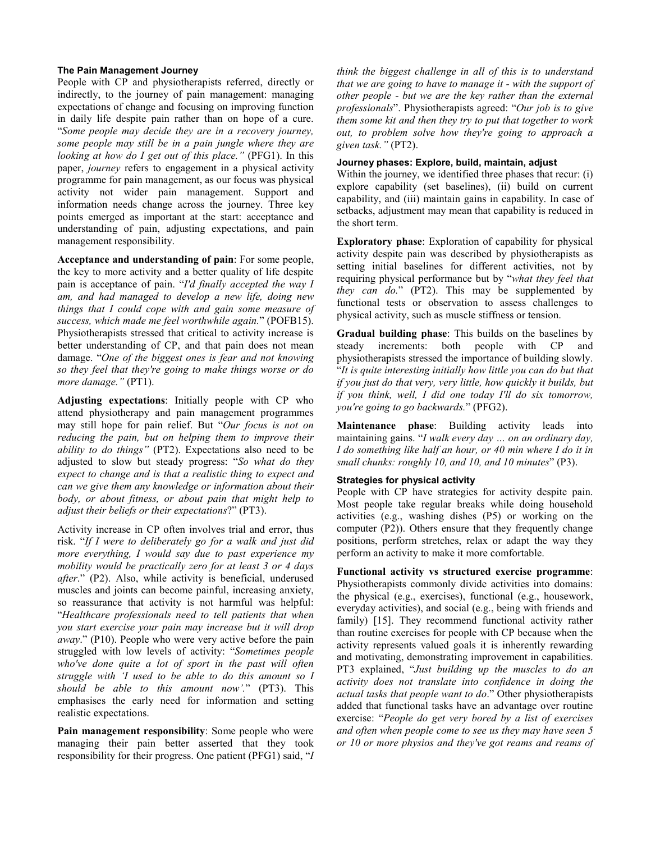## **The Pain Management Journey**

People with CP and physiotherapists referred, directly or indirectly, to the journey of pain management: managing expectations of change and focusing on improving function in daily life despite pain rather than on hope of a cure. "*Some people may decide they are in a recovery journey, some people may still be in a pain jungle where they are looking at how do I get out of this place."* (PFG1). In this paper, *journey* refers to engagement in a physical activity programme for pain management, as our focus was physical activity not wider pain management. Support and information needs change across the journey. Three key points emerged as important at the start: acceptance and understanding of pain, adjusting expectations, and pain management responsibility.

**Acceptance and understanding of pain**: For some people, the key to more activity and a better quality of life despite pain is acceptance of pain. "*I'd finally accepted the way I am, and had managed to develop a new life, doing new things that I could cope with and gain some measure of success, which made me feel worthwhile again.*" (POFB15). Physiotherapists stressed that critical to activity increase is better understanding of CP, and that pain does not mean damage. "*One of the biggest ones is fear and not knowing so they feel that they're going to make things worse or do more damage."* (PT1).

**Adjusting expectations**: Initially people with CP who attend physiotherapy and pain management programmes may still hope for pain relief. But "*Our focus is not on reducing the pain, but on helping them to improve their ability to do things"* (PT2). Expectations also need to be adjusted to slow but steady progress: "*So what do they expect to change and is that a realistic thing to expect and can we give them any knowledge or information about their body, or about fitness, or about pain that might help to adjust their beliefs or their expectations*?" (PT3).

Activity increase in CP often involves trial and error, thus risk. "*If I were to deliberately go for a walk and just did more everything, I would say due to past experience my mobility would be practically zero for at least 3 or 4 days after*." (P2). Also, while activity is beneficial, underused muscles and joints can become painful, increasing anxiety, so reassurance that activity is not harmful was helpful: "*Healthcare professionals need to tell patients that when you start exercise your pain may increase but it will drop away*." (P10). People who were very active before the pain struggled with low levels of activity: "*Sometimes people who've done quite a lot of sport in the past will often struggle with 'I used to be able to do this amount so I should be able to this amount now'.*" (PT3). This emphasises the early need for information and setting realistic expectations.

**Pain management responsibility**: Some people who were managing their pain better asserted that they took responsibility for their progress. One patient (PFG1) said, "*I*  *think the biggest challenge in all of this is to understand that we are going to have to manage it - with the support of other people - but we are the key rather than the external professionals*". Physiotherapists agreed: "*Our job is to give them some kit and then they try to put that together to work out, to problem solve how they're going to approach a given task."* (PT2).

## **Journey phases: Explore, build, maintain, adjust**

Within the journey, we identified three phases that recur: (i) explore capability (set baselines), (ii) build on current capability, and (iii) maintain gains in capability. In case of setbacks, adjustment may mean that capability is reduced in the short term.

**Exploratory phase**: Exploration of capability for physical activity despite pain was described by physiotherapists as setting initial baselines for different activities, not by requiring physical performance but by "*what they feel that they can do.*" (PT2). This may be supplemented by functional tests or observation to assess challenges to physical activity, such as muscle stiffness or tension.

**Gradual building phase**: This builds on the baselines by steady increments: both people with CP and physiotherapists stressed the importance of building slowly. "*It is quite interesting initially how little you can do but that if you just do that very, very little, how quickly it builds, but if you think, well, I did one today I'll do six tomorrow, you're going to go backwards.*" (PFG2).

**Maintenance phase**: Building activity leads into maintaining gains. "*I walk every day … on an ordinary day, I do something like half an hour, or 40 min where I do it in small chunks: roughly 10, and 10, and 10 minutes*" (P3).

# **Strategies for physical activity**

People with CP have strategies for activity despite pain. Most people take regular breaks while doing household activities (e.g., washing dishes (P5) or working on the computer (P2)). Others ensure that they frequently change positions, perform stretches, relax or adapt the way they perform an activity to make it more comfortable.

**Functional activity vs structured exercise programme**: Physiotherapists commonly divide activities into domains: the physical (e.g., exercises), functional (e.g., housework, everyday activities), and social (e.g., being with friends and family) [15]. They recommend functional activity rather than routine exercises for people with CP because when the activity represents valued goals it is inherently rewarding and motivating, demonstrating improvement in capabilities. PT3 explained, "*Just building up the muscles to do an activity does not translate into confidence in doing the actual tasks that people want to do*." Other physiotherapists added that functional tasks have an advantage over routine exercise: "*People do get very bored by a list of exercises and often when people come to see us they may have seen 5 or 10 or more physios and they've got reams and reams of*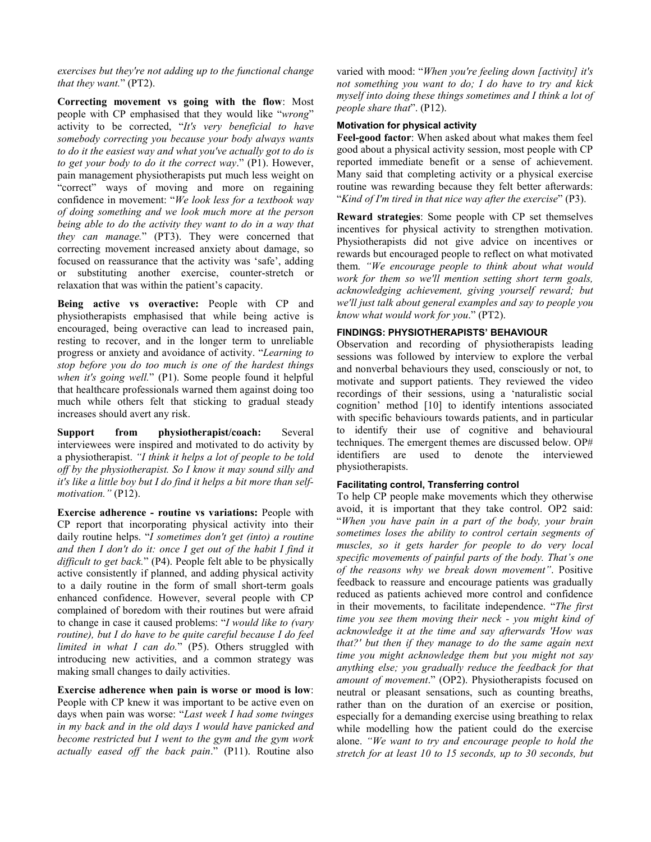*exercises but they're not adding up to the functional change that they want.*" (PT2).

**Correcting movement vs going with the flow**: Most people with CP emphasised that they would like "*wrong*" activity to be corrected, "*It's very beneficial to have somebody correcting you because your body always wants to do it the easiest way and what you've actually got to do is to get your body to do it the correct way*." (P1). However, pain management physiotherapists put much less weight on "correct" ways of moving and more on regaining confidence in movement: "*We look less for a textbook way of doing something and we look much more at the person being able to do the activity they want to do in a way that they can manage.*" (PT3). They were concerned that correcting movement increased anxiety about damage, so focused on reassurance that the activity was 'safe', adding or substituting another exercise, counter-stretch or relaxation that was within the patient's capacity.

**Being active vs overactive:** People with CP and physiotherapists emphasised that while being active is encouraged, being overactive can lead to increased pain, resting to recover, and in the longer term to unreliable progress or anxiety and avoidance of activity. "*Learning to stop before you do too much is one of the hardest things when it's going well.*" (P1). Some people found it helpful that healthcare professionals warned them against doing too much while others felt that sticking to gradual steady increases should avert any risk.

**Support from physiotherapist/coach:** Several interviewees were inspired and motivated to do activity by a physiotherapist. *"I think it helps a lot of people to be told off by the physiotherapist. So I know it may sound silly and it's like a little boy but I do find it helps a bit more than selfmotivation."* (P12).

**Exercise adherence - routine vs variations:** People with CP report that incorporating physical activity into their daily routine helps. "*I sometimes don't get (into) a routine and then I don't do it: once I get out of the habit I find it difficult to get back.*" (P4). People felt able to be physically active consistently if planned, and adding physical activity to a daily routine in the form of small short-term goals enhanced confidence. However, several people with CP complained of boredom with their routines but were afraid to change in case it caused problems: "*I would like to (vary routine), but I do have to be quite careful because I do feel limited in what I can do.*" (P5). Others struggled with introducing new activities, and a common strategy was making small changes to daily activities.

**Exercise adherence when pain is worse or mood is low**: People with CP knew it was important to be active even on days when pain was worse: "*Last week I had some twinges in my back and in the old days I would have panicked and become restricted but I went to the gym and the gym work actually eased off the back pain*." (P11). Routine also

varied with mood: "*When you're feeling down [activity] it's not something you want to do; I do have to try and kick myself into doing these things sometimes and I think a lot of people share that*". (P12).

# **Motivation for physical activity**

**Feel-good factor**: When asked about what makes them feel good about a physical activity session, most people with CP reported immediate benefit or a sense of achievement. Many said that completing activity or a physical exercise routine was rewarding because they felt better afterwards: "*Kind of I'm tired in that nice way after the exercise*" (P3).

**Reward strategies**: Some people with CP set themselves incentives for physical activity to strengthen motivation. Physiotherapists did not give advice on incentives or rewards but encouraged people to reflect on what motivated them. *"We encourage people to think about what would work for them so we'll mention setting short term goals, acknowledging achievement, giving yourself reward; but we'll just talk about general examples and say to people you know what would work for you*." (PT2).

# **FINDINGS: PHYSIOTHERAPISTS' BEHAVIOUR**

Observation and recording of physiotherapists leading sessions was followed by interview to explore the verbal and nonverbal behaviours they used, consciously or not, to motivate and support patients. They reviewed the video recordings of their sessions, using a 'naturalistic social cognition' method [10] to identify intentions associated with specific behaviours towards patients, and in particular to identify their use of cognitive and behavioural techniques. The emergent themes are discussed below. OP# identifiers are used to denote the interviewed physiotherapists.

## **Facilitating control, Transferring control**

To help CP people make movements which they otherwise avoid, it is important that they take control. OP2 said: "*When you have pain in a part of the body, your brain sometimes loses the ability to control certain segments of muscles, so it gets harder for people to do very local specific movements of painful parts of the body. That's one of the reasons why we break down movement"*. Positive feedback to reassure and encourage patients was gradually reduced as patients achieved more control and confidence in their movements, to facilitate independence. "*The first time you see them moving their neck - you might kind of acknowledge it at the time and say afterwards 'How was that?' but then if they manage to do the same again next time you might acknowledge them but you might not say anything else; you gradually reduce the feedback for that amount of movement*." (OP2). Physiotherapists focused on neutral or pleasant sensations, such as counting breaths, rather than on the duration of an exercise or position, especially for a demanding exercise using breathing to relax while modelling how the patient could do the exercise alone. *"We want to try and encourage people to hold the stretch for at least 10 to 15 seconds, up to 30 seconds, but*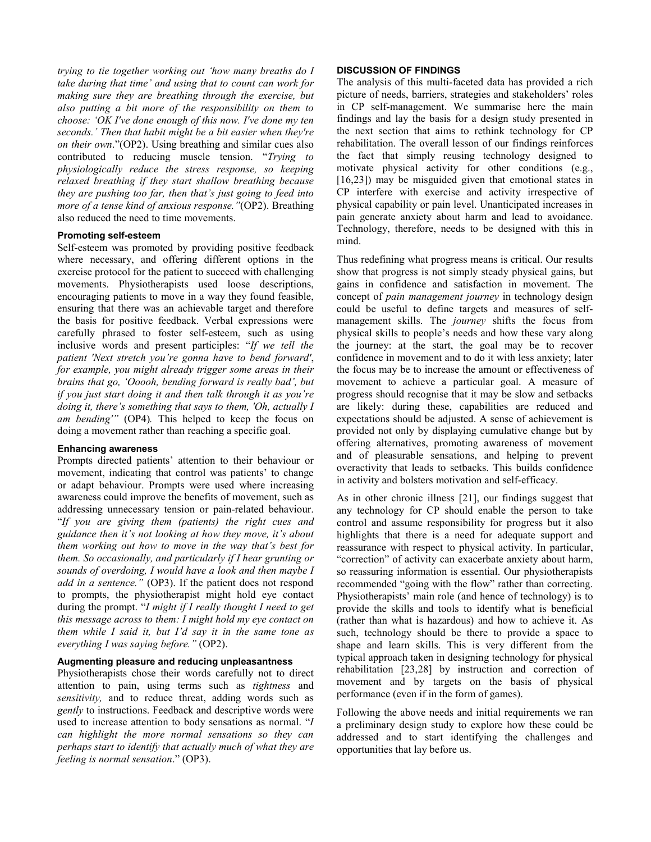*trying to tie together working out 'how many breaths do I take during that time' and using that to count can work for making sure they are breathing through the exercise, but also putting a bit more of the responsibility on them to choose: 'OK I've done enough of this now. I've done my ten seconds.' Then that habit might be a bit easier when they're on their own*."(OP2). Using breathing and similar cues also contributed to reducing muscle tension. "*Trying to physiologically reduce the stress response, so keeping relaxed breathing if they start shallow breathing because they are pushing too far, then that's just going to feed into more of a tense kind of anxious response."*(OP2). Breathing also reduced the need to time movements.

#### **Promoting self-esteem**

Self-esteem was promoted by providing positive feedback where necessary, and offering different options in the exercise protocol for the patient to succeed with challenging movements. Physiotherapists used loose descriptions, encouraging patients to move in a way they found feasible, ensuring that there was an achievable target and therefore the basis for positive feedback. Verbal expressions were carefully phrased to foster self-esteem, such as using inclusive words and present participles: "*If we tell the patient 'Next stretch you're gonna have to bend forward'*, *for example, you might already trigger some areas in their brains that go, 'Ooooh, bending forward is really bad', but if you just start doing it and then talk through it as you're doing it, there's something that says to them, 'Oh, actually I am bending'"* (OP4)*.* This helped to keep the focus on doing a movement rather than reaching a specific goal.

#### **Enhancing awareness**

Prompts directed patients' attention to their behaviour or movement, indicating that control was patients' to change or adapt behaviour. Prompts were used where increasing awareness could improve the benefits of movement, such as addressing unnecessary tension or pain-related behaviour. "*If you are giving them (patients) the right cues and guidance then it's not looking at how they move, it's about them working out how to move in the way that's best for them. So occasionally, and particularly if I hear grunting or sounds of overdoing, I would have a look and then maybe I add in a sentence."* (OP3). If the patient does not respond to prompts, the physiotherapist might hold eye contact during the prompt. "*I might if I really thought I need to get this message across to them: I might hold my eye contact on them while I said it, but I'd say it in the same tone as everything I was saying before."* (OP2).

# **Augmenting pleasure and reducing unpleasantness**

Physiotherapists chose their words carefully not to direct attention to pain, using terms such as *tightness* and *sensitivity,* and to reduce threat, adding words such as *gently* to instructions. Feedback and descriptive words were used to increase attention to body sensations as normal. "*I can highlight the more normal sensations so they can perhaps start to identify that actually much of what they are feeling is normal sensation*." (OP3).

#### **DISCUSSION OF FINDINGS**

The analysis of this multi-faceted data has provided a rich picture of needs, barriers, strategies and stakeholders' roles in CP self-management. We summarise here the main findings and lay the basis for a design study presented in the next section that aims to rethink technology for CP rehabilitation. The overall lesson of our findings reinforces the fact that simply reusing technology designed to motivate physical activity for other conditions (e.g., [16,23]) may be misguided given that emotional states in CP interfere with exercise and activity irrespective of physical capability or pain level. Unanticipated increases in pain generate anxiety about harm and lead to avoidance. Technology, therefore, needs to be designed with this in mind.

Thus redefining what progress means is critical. Our results show that progress is not simply steady physical gains, but gains in confidence and satisfaction in movement. The concept of *pain management journey* in technology design could be useful to define targets and measures of selfmanagement skills. The *journey* shifts the focus from physical skills to people's needs and how these vary along the journey: at the start, the goal may be to recover confidence in movement and to do it with less anxiety; later the focus may be to increase the amount or effectiveness of movement to achieve a particular goal. A measure of progress should recognise that it may be slow and setbacks are likely: during these, capabilities are reduced and expectations should be adjusted. A sense of achievement is provided not only by displaying cumulative change but by offering alternatives, promoting awareness of movement and of pleasurable sensations, and helping to prevent overactivity that leads to setbacks. This builds confidence in activity and bolsters motivation and self-efficacy.

As in other chronic illness [21], our findings suggest that any technology for CP should enable the person to take control and assume responsibility for progress but it also highlights that there is a need for adequate support and reassurance with respect to physical activity. In particular, "correction" of activity can exacerbate anxiety about harm, so reassuring information is essential. Our physiotherapists recommended "going with the flow" rather than correcting. Physiotherapists' main role (and hence of technology) is to provide the skills and tools to identify what is beneficial (rather than what is hazardous) and how to achieve it. As such, technology should be there to provide a space to shape and learn skills. This is very different from the typical approach taken in designing technology for physical rehabilitation [23,28] by instruction and correction of movement and by targets on the basis of physical performance (even if in the form of games).

Following the above needs and initial requirements we ran a preliminary design study to explore how these could be addressed and to start identifying the challenges and opportunities that lay before us.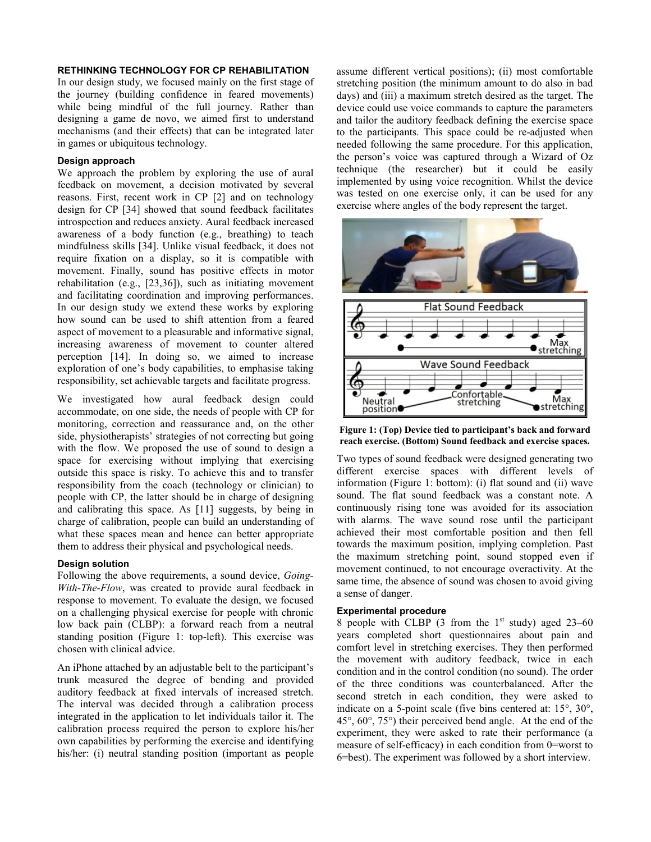## **RETHINKING TECHNOLOGY FOR CP REHABILITATION**

In our design study, we focused mainly on the first stage of the journey (building confidence in feared movements) while being mindful of the full journey. Rather than designing a game de novo, we aimed first to understand mechanisms (and their effects) that can be integrated later in games or ubiquitous technology.

#### **Design approach**

We approach the problem by exploring the use of aural feedback on movement, a decision motivated by several reasons. First, recent work in CP [2] and on technology design for CP [34] showed that sound feedback facilitates introspection and reduces anxiety. Aural feedback increased awareness of a body function (e.g., breathing) to teach mindfulness skills [34]. Unlike visual feedback, it does not require fixation on a display, so it is compatible with movement. Finally, sound has positive effects in motor rehabilitation (e.g., [23,36]), such as initiating movement and facilitating coordination and improving performances. In our design study we extend these works by exploring how sound can be used to shift attention from a feared aspect of movement to a pleasurable and informative signal, increasing awareness of movement to counter altered perception [14]. In doing so, we aimed to increase exploration of one's body capabilities, to emphasise taking responsibility, set achievable targets and facilitate progress.

We investigated how aural feedback design could accommodate, on one side, the needs of people with CP for monitoring, correction and reassurance and, on the other side, physiotherapists' strategies of not correcting but going with the flow. We proposed the use of sound to design a space for exercising without implying that exercising outside this space is risky. To achieve this and to transfer responsibility from the coach (technology or clinician) to people with CP, the latter should be in charge of designing and calibrating this space. As [11] suggests, by being in charge of calibration, people can build an understanding of what these spaces mean and hence can better appropriate them to address their physical and psychological needs.

#### **Design solution**

Following the above requirements, a sound device, *Going-With-The-Flow*, was created to provide aural feedback in response to movement. To evaluate the design, we focused on a challenging physical exercise for people with chronic low back pain (CLBP): a forward reach from a neutral standing position (Figure 1: top-left). This exercise was chosen with clinical advice.

An iPhone attached by an adjustable belt to the participant's trunk measured the degree of bending and provided auditory feedback at fixed intervals of increased stretch. The interval was decided through a calibration process integrated in the application to let individuals tailor it. The calibration process required the person to explore his/her own capabilities by performing the exercise and identifying his/her: (i) neutral standing position (important as people

assume different vertical positions); (ii) most comfortable stretching position (the minimum amount to do also in bad days) and (iii) a maximum stretch desired as the target. The device could use voice commands to capture the parameters and tailor the auditory feedback defining the exercise space to the participants. This space could be re-adjusted when needed following the same procedure. For this application, the person's voice was captured through a Wizard of Oz technique (the researcher) but it could be easily implemented by using voice recognition. Whilst the device was tested on one exercise only, it can be used for any exercise where angles of the body represent the target.



**Figure 1: (Top) Device tied to participant's back and forward reach exercise. (Bottom) Sound feedback and exercise spaces.**

Two types of sound feedback were designed generating two different exercise spaces with different levels of information (Figure 1: bottom): (i) flat sound and (ii) wave sound. The flat sound feedback was a constant note. A continuously rising tone was avoided for its association with alarms. The wave sound rose until the participant achieved their most comfortable position and then fell towards the maximum position, implying completion. Past the maximum stretching point, sound stopped even if movement continued, to not encourage overactivity. At the same time, the absence of sound was chosen to avoid giving a sense of danger.

#### **Experimental procedure**

8 people with CLBP (3 from the  $1<sup>st</sup>$  study) aged 23–60 years completed short questionnaires about pain and comfort level in stretching exercises. They then performed the movement with auditory feedback, twice in each condition and in the control condition (no sound). The order of the three conditions was counterbalanced. After the second stretch in each condition, they were asked to indicate on a 5-point scale (five bins centered at: 15°, 30°, 45°, 60°, 75°) their perceived bend angle. At the end of the experiment, they were asked to rate their performance (a measure of self-efficacy) in each condition from 0=worst to 6=best). The experiment was followed by a short interview.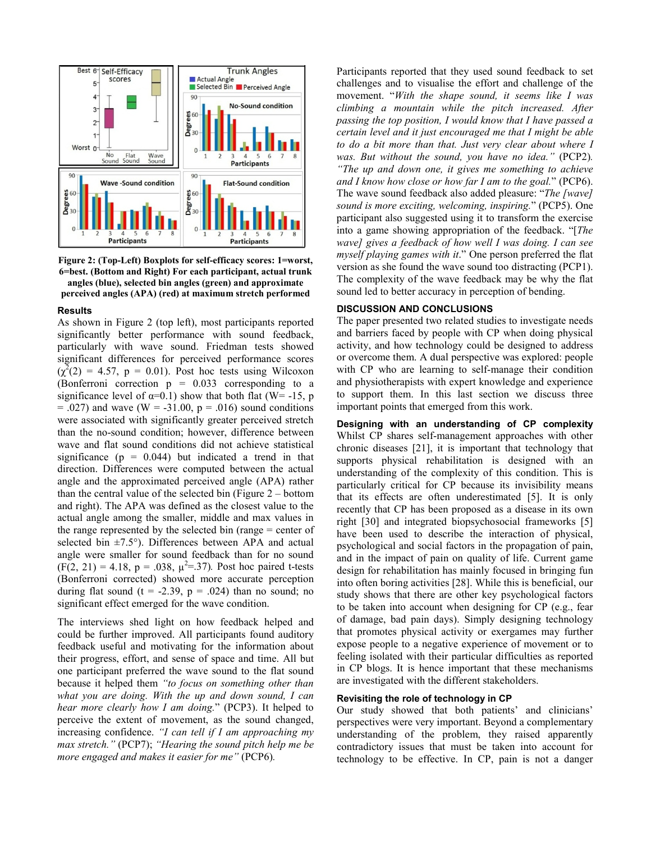

**Figure 2: (Top-Left) Boxplots for self-efficacy scores: 1=worst, 6=best. (Bottom and Right) For each participant, actual trunk angles (blue), selected bin angles (green) and approximate perceived angles (APA) (red) at maximum stretch performed**

#### **Results**

As shown in Figure 2 (top left), most participants reported significantly better performance with sound feedback, particularly with wave sound. Friedman tests showed significant differences for perceived performance scores  $(\chi^2(2) = 4.57, p = 0.01)$ . Post hoc tests using Wilcoxon (Bonferroni correction  $p = 0.033$  corresponding to a significance level of  $\alpha=0.1$ ) show that both flat (W= -15, p  $= .027$ ) and wave (W  $= .31.00$ , p  $= .016$ ) sound conditions were associated with significantly greater perceived stretch than the no-sound condition; however, difference between wave and flat sound conditions did not achieve statistical significance ( $p = 0.044$ ) but indicated a trend in that direction. Differences were computed between the actual angle and the approximated perceived angle (APA) rather than the central value of the selected bin (Figure 2 – bottom and right). The APA was defined as the closest value to the actual angle among the smaller, middle and max values in the range represented by the selected bin (range = center of selected bin  $\pm$ 7.5°). Differences between APA and actual angle were smaller for sound feedback than for no sound  $(F(2, 21) = 4.18, p = .038, \mu^2 = .37)$ . Post hoc paired t-tests (Bonferroni corrected) showed more accurate perception during flat sound (t = -2.39, p = .024) than no sound; no significant effect emerged for the wave condition.

The interviews shed light on how feedback helped and could be further improved. All participants found auditory feedback useful and motivating for the information about their progress, effort, and sense of space and time. All but one participant preferred the wave sound to the flat sound because it helped them *"to focus on something other than what you are doing. With the up and down sound, I can hear more clearly how I am doing.*" (PCP3). It helped to perceive the extent of movement, as the sound changed, increasing confidence. *"I can tell if I am approaching my max stretch."* (PCP7); *"Hearing the sound pitch help me be more engaged and makes it easier for me"* (PCP6)*.*

Participants reported that they used sound feedback to set challenges and to visualise the effort and challenge of the movement. "*With the shape sound, it seems like I was climbing a mountain while the pitch increased. After passing the top position, I would know that I have passed a certain level and it just encouraged me that I might be able to do a bit more than that. Just very clear about where I was. But without the sound, you have no idea."* (PCP2)*. "The up and down one, it gives me something to achieve and I know how close or how far I am to the goal.*" (PCP6). The wave sound feedback also added pleasure: "*The [wave] sound is more exciting, welcoming, inspiring.*" (PCP5). One participant also suggested using it to transform the exercise into a game showing appropriation of the feedback. "[*The wave] gives a feedback of how well I was doing. I can see myself playing games with it*." One person preferred the flat version as she found the wave sound too distracting (PCP1). The complexity of the wave feedback may be why the flat sound led to better accuracy in perception of bending.

# **DISCUSSION AND CONCLUSIONS**

The paper presented two related studies to investigate needs and barriers faced by people with CP when doing physical activity, and how technology could be designed to address or overcome them. A dual perspective was explored: people with CP who are learning to self-manage their condition and physiotherapists with expert knowledge and experience to support them. In this last section we discuss three important points that emerged from this work.

**Designing with an understanding of CP complexity** Whilst CP shares self-management approaches with other chronic diseases [21], it is important that technology that supports physical rehabilitation is designed with an understanding of the complexity of this condition. This is particularly critical for CP because its invisibility means that its effects are often underestimated [5]. It is only recently that CP has been proposed as a disease in its own right [30] and integrated biopsychosocial frameworks [5] have been used to describe the interaction of physical, psychological and social factors in the propagation of pain, and in the impact of pain on quality of life. Current game design for rehabilitation has mainly focused in bringing fun into often boring activities [28]. While this is beneficial, our study shows that there are other key psychological factors to be taken into account when designing for CP (e.g., fear of damage, bad pain days). Simply designing technology that promotes physical activity or exergames may further expose people to a negative experience of movement or to feeling isolated with their particular difficulties as reported in CP blogs. It is hence important that these mechanisms are investigated with the different stakeholders.

#### **Revisiting the role of technology in CP**

Our study showed that both patients' and clinicians' perspectives were very important. Beyond a complementary understanding of the problem, they raised apparently contradictory issues that must be taken into account for technology to be effective. In CP, pain is not a danger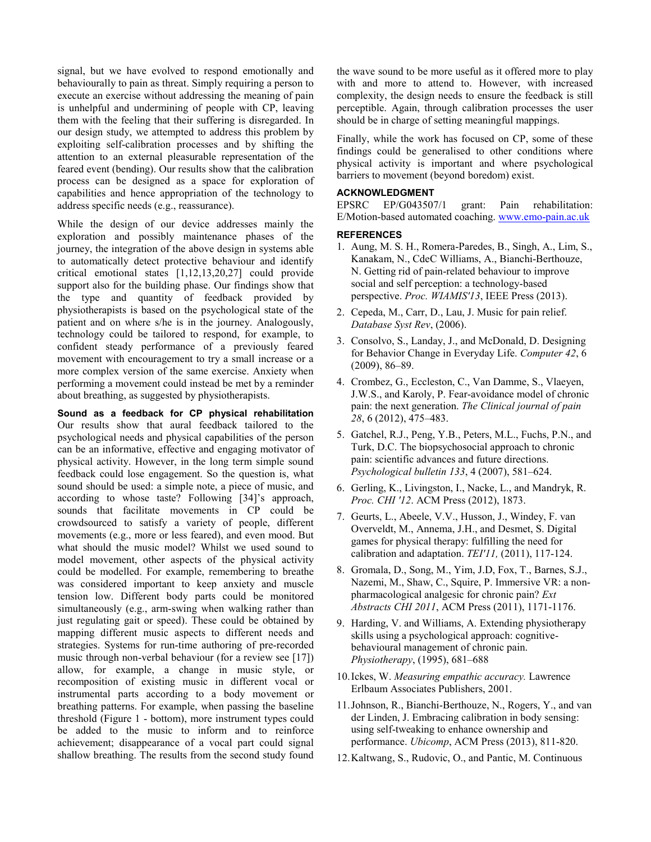signal, but we have evolved to respond emotionally and behaviourally to pain as threat. Simply requiring a person to execute an exercise without addressing the meaning of pain is unhelpful and undermining of people with CP, leaving them with the feeling that their suffering is disregarded. In our design study, we attempted to address this problem by exploiting self-calibration processes and by shifting the attention to an external pleasurable representation of the feared event (bending). Our results show that the calibration process can be designed as a space for exploration of capabilities and hence appropriation of the technology to address specific needs (e.g., reassurance).

While the design of our device addresses mainly the exploration and possibly maintenance phases of the journey, the integration of the above design in systems able to automatically detect protective behaviour and identify critical emotional states [1,12,13,20,27] could provide support also for the building phase. Our findings show that the type and quantity of feedback provided by physiotherapists is based on the psychological state of the patient and on where s/he is in the journey. Analogously, technology could be tailored to respond, for example, to confident steady performance of a previously feared movement with encouragement to try a small increase or a more complex version of the same exercise. Anxiety when performing a movement could instead be met by a reminder about breathing, as suggested by physiotherapists.

**Sound as a feedback for CP physical rehabilitation**  Our results show that aural feedback tailored to the psychological needs and physical capabilities of the person can be an informative, effective and engaging motivator of physical activity. However, in the long term simple sound feedback could lose engagement. So the question is, what sound should be used: a simple note, a piece of music, and according to whose taste? Following [34]'s approach, sounds that facilitate movements in CP could be crowdsourced to satisfy a variety of people, different movements (e.g., more or less feared), and even mood. But what should the music model? Whilst we used sound to model movement, other aspects of the physical activity could be modelled. For example, remembering to breathe was considered important to keep anxiety and muscle tension low. Different body parts could be monitored simultaneously (e.g., arm-swing when walking rather than just regulating gait or speed). These could be obtained by mapping different music aspects to different needs and strategies. Systems for run-time authoring of pre-recorded music through non-verbal behaviour (for a review see [17]) allow, for example, a change in music style, or recomposition of existing music in different vocal or instrumental parts according to a body movement or breathing patterns. For example, when passing the baseline threshold (Figure 1 - bottom), more instrument types could be added to the music to inform and to reinforce achievement; disappearance of a vocal part could signal shallow breathing. The results from the second study found

the wave sound to be more useful as it offered more to play with and more to attend to. However, with increased complexity, the design needs to ensure the feedback is still perceptible. Again, through calibration processes the user should be in charge of setting meaningful mappings.

Finally, while the work has focused on CP, some of these findings could be generalised to other conditions where physical activity is important and where psychological barriers to movement (beyond boredom) exist.

## **ACKNOWLEDGMENT**

EPSRC EP/G043507/1 grant: Pain rehabilitation: E/Motion-based automated coaching. [www.emo-pain.ac.uk](http://www.emo-pain.ac.uk/)

#### **REFERENCES**

- 1. Aung, M. S. H., Romera-Paredes, B., Singh, A., Lim, S., Kanakam, N., CdeC Williams, A., Bianchi-Berthouze, N. Getting rid of pain-related behaviour to improve social and self perception: a technology-based perspective. *Proc. WIAMIS'13*, IEEE Press (2013).
- 2. Cepeda, M., Carr, D., Lau, J. Music for pain relief. *Database Syst Rev*, (2006).
- 3. Consolvo, S., Landay, J., and McDonald, D. Designing for Behavior Change in Everyday Life. *Computer 42*, 6 (2009), 86–89.
- 4. Crombez, G., Eccleston, C., Van Damme, S., Vlaeyen, J.W.S., and Karoly, P. Fear-avoidance model of chronic pain: the next generation. *The Clinical journal of pain 28*, 6 (2012), 475–483.
- 5. Gatchel, R.J., Peng, Y.B., Peters, M.L., Fuchs, P.N., and Turk, D.C. The biopsychosocial approach to chronic pain: scientific advances and future directions. *Psychological bulletin 133*, 4 (2007), 581–624.
- 6. Gerling, K., Livingston, I., Nacke, L., and Mandryk, R. *Proc. CHI '12*. ACM Press (2012), 1873.
- 7. Geurts, L., Abeele, V.V., Husson, J., Windey, F. van Overveldt, M., Annema, J.H., and Desmet, S. Digital games for physical therapy: fulfilling the need for calibration and adaptation. *TEI'11,* (2011), 117-124.
- 8. Gromala, D., Song, M., Yim, J.D, Fox, T., Barnes, S.J., Nazemi, M., Shaw, C., Squire, P. Immersive VR: a nonpharmacological analgesic for chronic pain? *Ext Abstracts CHI 2011*, ACM Press (2011), 1171-1176.
- 9. Harding, V. and Williams, A. Extending physiotherapy skills using a psychological approach: cognitivebehavioural management of chronic pain. *Physiotherapy*, (1995), 681–688
- 10.Ickes, W. *Measuring empathic accuracy.* Lawrence Erlbaum Associates Publishers, 2001.
- 11.Johnson, R., Bianchi-Berthouze, N., Rogers, Y., and van der Linden, J. Embracing calibration in body sensing: using self-tweaking to enhance ownership and performance. *Ubicomp*, ACM Press (2013), 811-820.
- 12.Kaltwang, S., Rudovic, O., and Pantic, M. Continuous